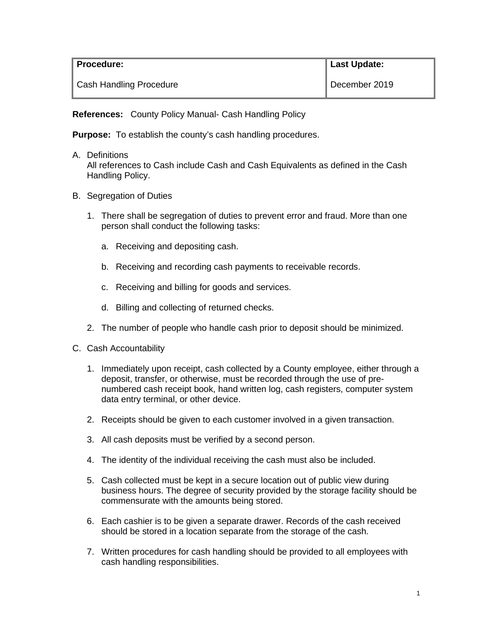| <b>Procedure:</b>              | Last Update:  |
|--------------------------------|---------------|
| <b>Cash Handling Procedure</b> | December 2019 |

**References:** County Policy Manual- Cash Handling Policy

**Purpose:** To establish the county's cash handling procedures.

A. Definitions

All references to Cash include Cash and Cash Equivalents as defined in the Cash Handling Policy.

- B. Segregation of Duties
	- 1. There shall be segregation of duties to prevent error and fraud. More than one person shall conduct the following tasks:
		- a. Receiving and depositing cash.
		- b. Receiving and recording cash payments to receivable records.
		- c. Receiving and billing for goods and services.
		- d. Billing and collecting of returned checks.
	- 2. The number of people who handle cash prior to deposit should be minimized.
- C. Cash Accountability
	- 1. Immediately upon receipt, cash collected by a County employee, either through a deposit, transfer, or otherwise, must be recorded through the use of prenumbered cash receipt book, hand written log, cash registers, computer system data entry terminal, or other device.
	- 2. Receipts should be given to each customer involved in a given transaction.
	- 3. All cash deposits must be verified by a second person.
	- 4. The identity of the individual receiving the cash must also be included.
	- 5. Cash collected must be kept in a secure location out of public view during business hours. The degree of security provided by the storage facility should be commensurate with the amounts being stored.
	- 6. Each cashier is to be given a separate drawer. Records of the cash received should be stored in a location separate from the storage of the cash.
	- 7. Written procedures for cash handling should be provided to all employees with cash handling responsibilities.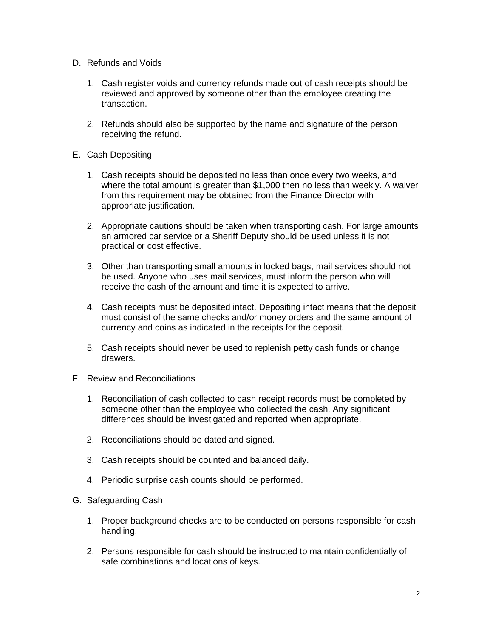- D. Refunds and Voids
	- 1. Cash register voids and currency refunds made out of cash receipts should be reviewed and approved by someone other than the employee creating the transaction.
	- 2. Refunds should also be supported by the name and signature of the person receiving the refund.
- E. Cash Depositing
	- 1. Cash receipts should be deposited no less than once every two weeks, and where the total amount is greater than \$1,000 then no less than weekly. A waiver from this requirement may be obtained from the Finance Director with appropriate justification.
	- 2. Appropriate cautions should be taken when transporting cash. For large amounts an armored car service or a Sheriff Deputy should be used unless it is not practical or cost effective.
	- 3. Other than transporting small amounts in locked bags, mail services should not be used. Anyone who uses mail services, must inform the person who will receive the cash of the amount and time it is expected to arrive.
	- 4. Cash receipts must be deposited intact. Depositing intact means that the deposit must consist of the same checks and/or money orders and the same amount of currency and coins as indicated in the receipts for the deposit.
	- 5. Cash receipts should never be used to replenish petty cash funds or change drawers.
- F. Review and Reconciliations
	- 1. Reconciliation of cash collected to cash receipt records must be completed by someone other than the employee who collected the cash. Any significant differences should be investigated and reported when appropriate.
	- 2. Reconciliations should be dated and signed.
	- 3. Cash receipts should be counted and balanced daily.
	- 4. Periodic surprise cash counts should be performed.
- G. Safeguarding Cash
	- 1. Proper background checks are to be conducted on persons responsible for cash handling.
	- 2. Persons responsible for cash should be instructed to maintain confidentially of safe combinations and locations of keys.